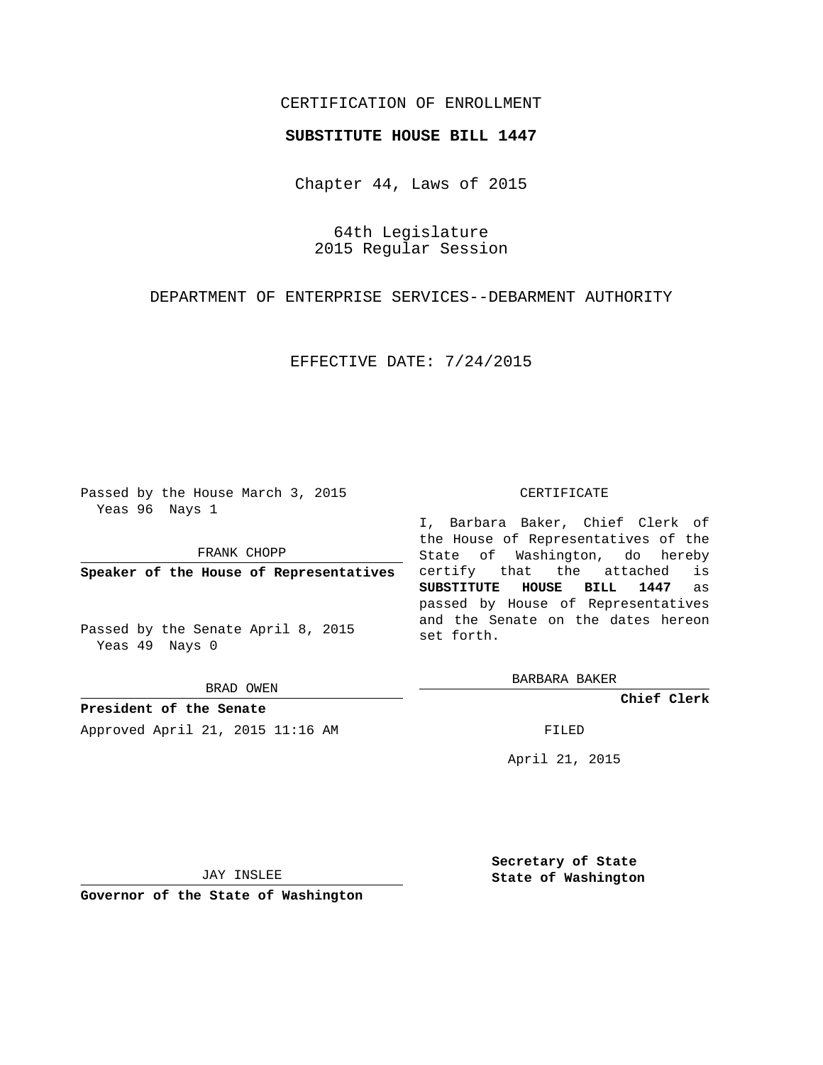## CERTIFICATION OF ENROLLMENT

## **SUBSTITUTE HOUSE BILL 1447**

Chapter 44, Laws of 2015

64th Legislature 2015 Regular Session

DEPARTMENT OF ENTERPRISE SERVICES--DEBARMENT AUTHORITY

EFFECTIVE DATE: 7/24/2015

Passed by the House March 3, 2015 Yeas 96 Nays 1

FRANK CHOPP

**Speaker of the House of Representatives**

Passed by the Senate April 8, 2015 Yeas 49 Nays 0

BRAD OWEN

**President of the Senate** Approved April 21, 2015 11:16 AM FILED

## CERTIFICATE

I, Barbara Baker, Chief Clerk of the House of Representatives of the State of Washington, do hereby certify that the attached is **SUBSTITUTE HOUSE BILL 1447** as passed by House of Representatives and the Senate on the dates hereon set forth.

BARBARA BAKER

**Chief Clerk**

April 21, 2015

JAY INSLEE

**Governor of the State of Washington**

**Secretary of State State of Washington**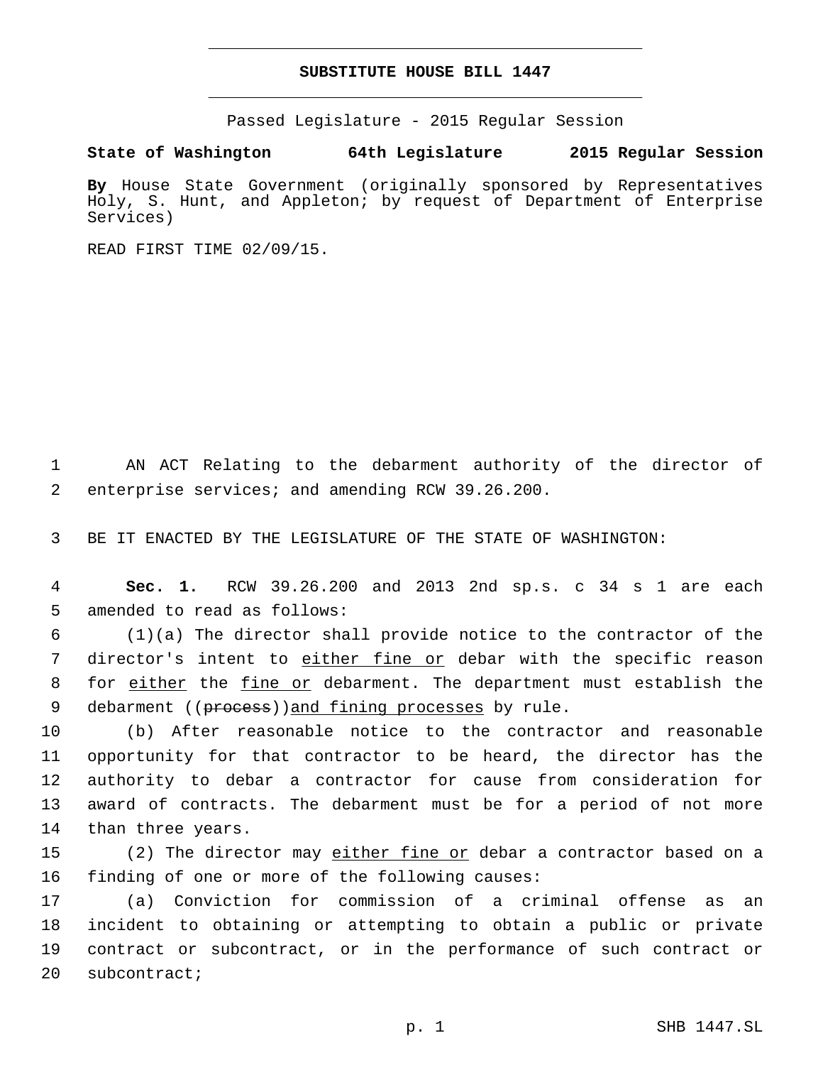## **SUBSTITUTE HOUSE BILL 1447**

Passed Legislature - 2015 Regular Session

**State of Washington 64th Legislature 2015 Regular Session**

**By** House State Government (originally sponsored by Representatives Holy, S. Hunt, and Appleton; by request of Department of Enterprise Services)

READ FIRST TIME 02/09/15.

1 AN ACT Relating to the debarment authority of the director of enterprise services; and amending RCW 39.26.200.2

3 BE IT ENACTED BY THE LEGISLATURE OF THE STATE OF WASHINGTON:

4 **Sec. 1.** RCW 39.26.200 and 2013 2nd sp.s. c 34 s 1 are each 5 amended to read as follows:

6 (1)(a) The director shall provide notice to the contractor of the 7 director's intent to either fine or debar with the specific reason 8 for either the fine or debarment. The department must establish the 9 debarment ((process))and fining processes by rule.

 (b) After reasonable notice to the contractor and reasonable opportunity for that contractor to be heard, the director has the authority to debar a contractor for cause from consideration for award of contracts. The debarment must be for a period of not more 14 than three years.

15 (2) The director may either fine or debar a contractor based on a 16 finding of one or more of the following causes:

 (a) Conviction for commission of a criminal offense as an incident to obtaining or attempting to obtain a public or private contract or subcontract, or in the performance of such contract or 20 subcontract;